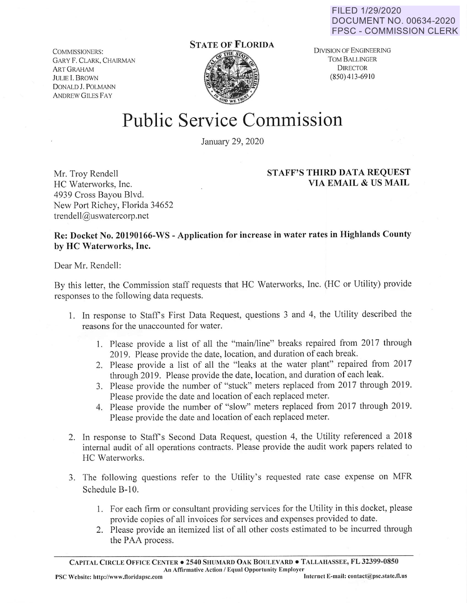FILED 1/29/2020 DOCUMENT NO. 00634-2020 FPSC - COMMISSION CLERK

COMMISSIONERS: GARY F. CLARK, CHAIRMAN ART GRAHAM JULIE l. BROWN DONALD J. POLMANN ANDREW GILES FAY

## **STATE OF FLORIDA**



DIVISION or ENGINEERING TOM BALLINGER DIRECTOR (850) 413-6910

## Public Service Commission

January 29, 2020

## **STAFF'S THIRD DATA REQUEST VIA EMAIL** & **US MAIL**

Mr. Troy Rendell HC Waterworks, Inc. 4939 Cross Bayou Blvd. New Port Richey, Florida 34652 trendell@uswatercorp.net

## **Re: Docket No. 20190166-WS** - **Application for increase in water rates in Highlands County by HC Waterworks, Inc.**

Dear Mr. Rendell:

By this letter, the Commission staff requests that HC Waterworks, Inc. (HC or Utility) provide responses to the following data requests.

- 1. In response to Staffs First Data Request, questions 3 and 4, the Utility described the reasons for the unaccounted for water.
	- 1. Please provide a list of all the "main/line" breaks repaired from 2017 through 2019. Please provide the date, location, and duration of each break.
	- 2. Please provide a list of all the "leaks at the water plant" repaired from 2017 through 2019. Please provide the date, location, and duration of each leak.
	- 3. Please provide the number of "stuck" meters replaced from 2017 through 2019. Please provide the date and location of each replaced meter.
	- 4. Please provide the number of "slow" meters replaced from 2017 through 2019. Please provide the date and location of each replaced meter.
- 2. In response to Staffs Second Data Request, question 4, the Utility referenced a 2018 internal audit of all operations contracts. Please provide the audit work papers related to HC Waterworks.
- 3. The following questions refer to the Utility's requested rate case expense on MFR Schedule B-10.
	- I. For each firm or consultant providing services for the Utility in this docket, please provide copies of all invoices for services and expenses provided to date.
	- 2. Please provide an itemized list of all other costs estimated to be incurred through the PAA process.